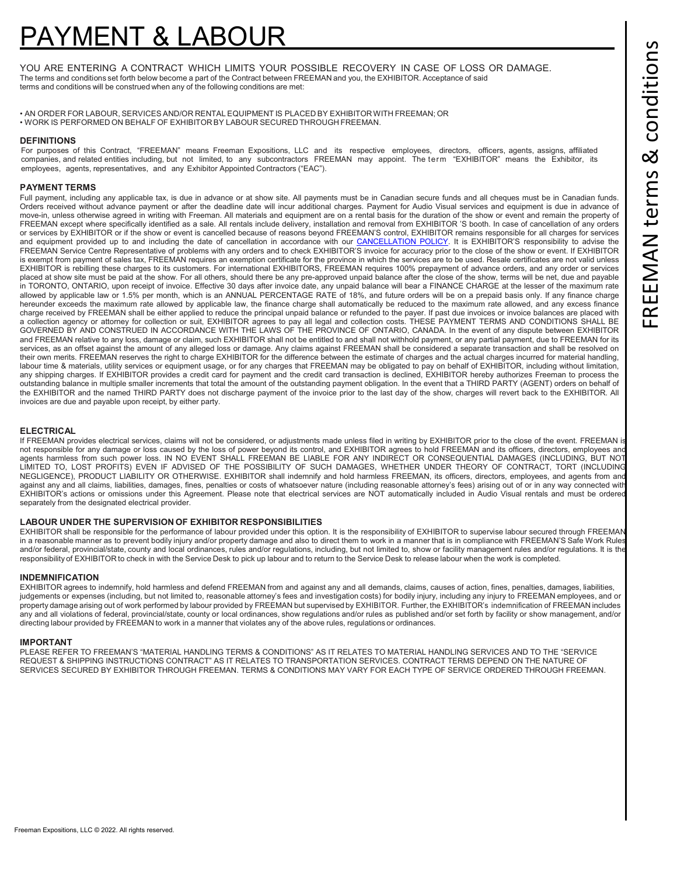# YMENT & LABOUR

YOU ARE ENTERING A CONTRACT WHICH LIMITS YOUR POSSIBLE RECOVERY IN CASE OF LOSS OR DAMAGE. The terms and conditions set forth below become a part of the Contract between FREEMAN and you, the EXHIBITOR. Acceptance of said terms and conditions will be construed when any of the following conditions are met:

• AN ORDER FOR LABOUR, SERVICES AND/OR RENTAL EQUIPMENT IS PLACED BY EXHIBITOR WITH FREEMAN; OR • WORK IS PERFORMED ON BEHALF OF EXHIBITOR BY LABOUR SECURED THROUGH FREEMAN.

## **DEFINITIONS**

For purposes of this Contract, "FREEMAN" means Freeman Expositions, LLC and its respective employees, directors, officers, agents, assigns, affiliated companies, and related entities including, but not limited, to any subcontractors FREEMAN may appoint. The term "EXHIBITOR" means the Exhibitor, its employees, agents, representatives, and any Exhibitor Appointed Contractors ("EAC").

### **PAYMENT TERMS**

Full payment, including any applicable tax, is due in advance or at show site. All payments must be in Canadian secure funds and all cheques must be in Canadian funds. Orders received without advance payment or after the deadline date will incur additional charges. Payment for Audio Visual services and equipment is due in advance of move-in, unless otherwise agreed in writing with Freeman. All materials and equipment are on a rental basis for the duration of the show or event and remain the property of FREEMAN except where specifically identified as a sale. All rentals include delivery, installation and removal from EXHIBITOR 'S booth. In case of cancellation of any orders or services by EXHIBITOR or if the show or event is cancelled because of reasons beyond FREEMAN'S control, EXHIBITOR remains responsible for all charges for services and equipment provided up to and including the date of cancellation in accordance with our [CANCELLATION POLICY.](https://www.freeman.com/resources/event-and-exhibitor-cancellation/) It is EXHIBITOR'S responsibility to advise the FREEMAN Service Centre Representative of problems with any orders and to check EXHIBITOR'S invoice for accuracy prior to the close of the show or event. If EXHIBITOR is exempt from payment of sales tax, FREEMAN requires an exemption certificate for the province in which the services are to be used. Resale certificates are not valid unless EXHIBITOR is rebilling these charges to its customers. For international EXHIBITORS, FREEMAN requires 100% prepayment of advance orders, and any order or services placed at show site must be paid at the show. For all others, should there be any pre-approved unpaid balance after the close of the show, terms will be net, due and payable in TORONTO, ONTARIO, upon receipt of invoice. Effective 30 days after invoice date, any unpaid balance will bear a FINANCE CHARGE at the lesser of the maximum rate allowed by applicable law or 1.5% per month, which is an ANNUAL PERCENTAGE RATE of 18%, and future orders will be on a prepaid basis only. If any finance charge hereunder exceeds the maximum rate allowed by applicable law, the finance charge shall automatically be reduced to the maximum rate allowed, and any excess finance charge received by FREEMAN shall be either applied to reduce the principal unpaid balance or refunded to the payer. If past due invoices or invoice balances are placed with a collection agency or attorney for collection or suit, EXHIBITOR agrees to pay all legal and collection costs. THESE PAYMENT TERMS AND CONDITIONS SHALL BE GOVERNED BY AND CONSTRUED IN ACCORDANCE WITH THE LAWS OF THE PROVINCE OF ONTARIO, CANADA. In the event of any dispute between EXHIBITOR and FREEMAN relative to any loss, damage or claim, such EXHIBITOR shall not be entitled to and shall not withhold payment, or any partial payment, due to FREEMAN for its<br>services, as an offset against the amount of any all their own merits. FREEMAN reserves the right to charge EXHIBITOR for the difference between the estimate of charges and the actual charges incurred for material handling, labour time & materials, utility services or equipment usage, or for any charges that FREEMAN may be obligated to pay on behalf of EXHIBITOR, including without limitation, any shipping charges. If EXHIBITOR provides a credit card for payment and the credit card transaction is declined, EXHIBITOR hereby authorizes Freeman to process the outstanding balance in multiple smaller increments that total the amount of the outstanding payment obligation. In the event that a THIRD PARTY (AGENT) orders on behalf of the EXHIBITOR and the named THIRD PARTY does not discharge payment of the invoice prior to the last day of the show, charges will revert back to the EXHIBITOR. All invoices are due and payable upon receipt, by either party.

## **ELECTRICAL**

If FREEMAN provides electrical services, claims will not be considered, or adjustments made unless filed in writing by EXHIBITOR prior to the close of the event. FREEMAN is not responsible for any damage or loss caused by the loss of power beyond its control, and EXHIBITOR agrees to hold FREEMAN and its officers, directors, employees and agents harmless from such power loss. IN NO EVENT SHALL FREEMAN BE LIABLE FOR ANY INDIRECT OR CONSEQUENTIAL DAMAGES (INCLUDING, BUT NOT LIMITED TO, LOST PROFITS) EVEN IF ADVISED OF THE POSSIBILITY OF SUCH DAMAGES, WHETHER UNDER THEORY OF CONTRACT, TORT (INCLUDING NEGLIGENCE), PRODUCT LIABILITY OR OTHERWISE. EXHIBITOR shall indemnify and hold harmless FREEMAN, its officers, directors, employees, and agents from and against any and all claims, liabilities, damages, fines, penalties or costs of whatsoever nature (including reasonable attorney's fees) arising out of or in any way connected with EXHIBITOR's actions or omissions under this Agreement. Please note that electrical services are NOT automatically included in Audio Visual rentals and must be ordered separately from the designated electrical provider.

### **LABOUR UNDER THE SUPERVISION OF EXHIBITOR RESPONSIBILITIES**

EXHIBITOR shall be responsible for the performance of labour provided under this option. It is the responsibility of EXHIBITOR to supervise labour secured through FREEMAN in a reasonable manner as to prevent bodily injury and/or property damage and also to direct them to work in a manner that is in compliance with FREEMAN'S Safe Work Rules and/or federal, provincial/state, county and local ordinances, rules and/or regulations, including, but not limited to, show or facility management rules and/or regulations. It is the responsibility of EXHIBITOR to check in with the Service Desk to pick up labour and to return to the Service Desk to release labour when the work is completed.

### **INDEMNIFICATION**

EXHIBITOR agrees to indemnify, hold harmless and defend FREEMAN from and against any and all demands, claims, causes of action, fines, penalties, damages, liabilities, judgements or expenses (including, but not limited to, reasonable attorney's fees and investigation costs) for bodily injury, including any injury to FREEMAN employees, and or property damage arising out of work performed by labour provided by FREEMAN but supervised by EXHIBITOR. Further, the EXHIBITOR's indemnification of FREEMAN includes any and all violations of federal, provincial/state, county or local ordinances, show regulations and/or rules as published and/or set forth by facility or show management, and/or directing labour provided by FREEMAN to work in a manner that violates any of the above rules, regulations or ordinances.

### **IMPORTANT**

PLEASE REFER TO FREEMAN'S "MATERIAL HANDLING TERMS & CONDITIONS" AS IT RELATES TO MATERIAL HANDLING SERVICES AND TO THE "SERVICE REQUEST & SHIPPING INSTRUCTIONS CONTRACT" AS IT RELATES TO TRANSPORTATION SERVICES. CONTRACT TERMS DEPEND ON THE NATURE OF SERVICES SECURED BY EXHIBITOR THROUGH FREEMAN. TERMS & CONDITIONS MAY VARY FOR EACH TYPE OF SERVICE ORDERED THROUGH FREEMAN.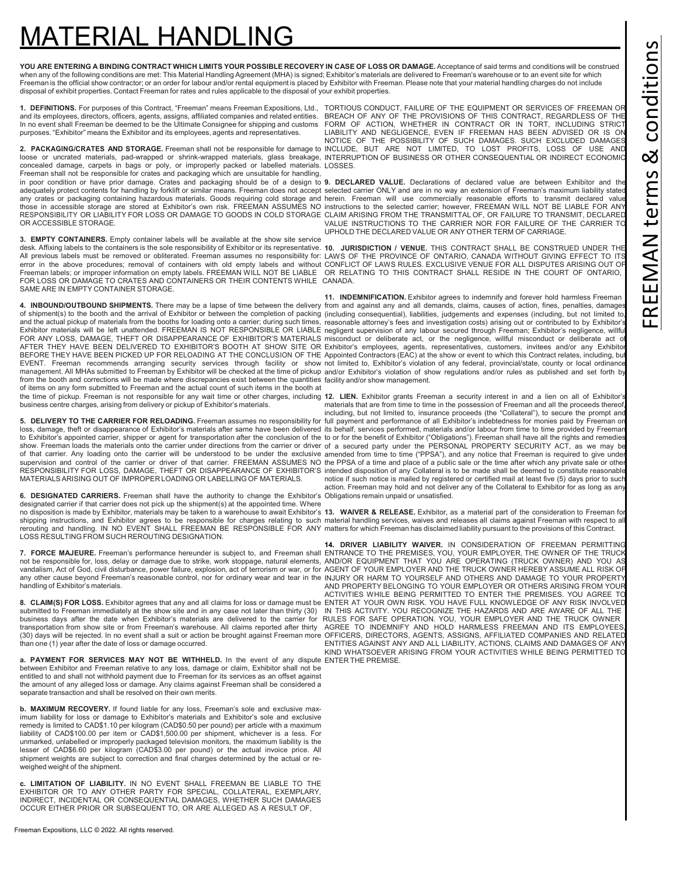## 'ERIAL HANDLIN

YOU ARE ENTERING A BINDING CONTRACT WHICH LIMITS YOUR POSSIBLE RECOVERY IN CASE OF LOSS OR DAMAGE. Acceptance of said terms and conditions will be construed when any of the following conditions are met: This Material Handling Agreement (MHA) is signed; Exhibitor's materials are delivered to Freeman's warehouse or to an event site for which Freeman is the official show contractor; or an order for labour and/or rental equipment is placed by Exhibitor with Freeman. Please note that your material handling charges do not include disposal of exhibit properties. Contact Freeman for rates and rules applicable to the disposal of your exhibit properties.

and its employees, directors, officers, agents, assigns, affiliated companies and related entities.<br>In no event shall Freeman be deemed to be the Ultimate Consignee for shipping and customs<br>purposes. "Exhibitor" means the

concealed damage, carpets in bags or poly, or improperly packed or labelled materials. LOSSES. Freeman shall not be responsible for crates and packaging which are unsuitable for handling,<br>in poor condition or have prior damage. Crates and packaging should be of a design to **9. DECLARED VALUE.** Declarations of declar

**3. EMPTY CONTAINERS.** Empty container labels will be available at the show site service desk. Affixing labels to the containers is the sole responsibility of Exhibitor or its representative. 10. JURISDICTION / VENUE. THIS CONTRACT SHALL BE CONSTRUED UNDER THE All previous labels must be removed or obliterated. Freeman assumes no responsibility for: LAWS OF THE PROVINCE OF ONTARIO, CANADA WITHOUT GIVING EFFECT TO ITS<br>error in the above procedures; removal of containers with old Freeman labels; or improper information on empty labels. FREEMAN WILL NOT BE LIABLE OR RELATING TO THIS CONTRACT SHALL RESIDE IN THE COURT OF ONTARIO, FOR LOSS OR DAMAGE TO CRATES AND CONTAINERS OR THEIR CONTENTS WHILE CANADA. SAME ARE IN EMPTY CONTAINER STORAGE.

from the booth and corrections will be made where discrepancies exist between the quantities facility and/or show management. of items on any form submitted to Freeman and the actual count of such items in the booth at the time of pickup. Freeman is not responsible for any wait time or other charges, including 12. LIEN. Exhibitor grants Freeman a security interest in and a lien on all of Exhibitor's business centre charges, arising from delivery or pickup of Exhibitor's materials.

MATERIALS ARISING OUT OF IMPROPER LOADING OR LABELLING OF MATERIALS.

**6. DESIGNATED CARRIERS.** Freeman shall have the authority to change the Exhibitor's Obligations remain unpaid or unsatisfied. designated carrier if that carrier does not pick up the shipment(s) at the appointed time. Where no disposition is made by Exhibitor, materials may be taken to a warehouse to await Exhibitor's **13. WAIVER & RELEASE.** Exhibitor, as a material part of the consideration to Freeman for<br>shipping instructions, and Exhibito rerouting and handling. IN NO EVENT SHALL FREEMAN BE RESPONSIBLE FOR ANY matters for which Freeman has disclaimed liability pursuant to the provisions of this Contract. LOSS RESULTING FROM SUCH REROUTING DESIGNATION.

handling of Exhibitor's materials.

business days after the date when Exhibitor's materials are delivered to the carrier for RULES FOR SAFE OPERATION. YOU, YOUR EMPLOYER AND THE TRUCK OWNER transportation from show site or from Freeman's warehouse. All claims reported after thirty than one (1) year after the date of loss or damage occurred.

**a. PAYMENT FOR SERVICES MAY NOT BE WITHHELD.** In the event of any dispute ENTER THE PREMISE.between Exhibitor and Freeman relative to any loss, damage or claim, Exhibitor shall not be entitled to and shall not withhold payment due to Freeman for its services as an offset against the amount of any alleged loss or damage. Any claims against Freeman shall be considered a separate transaction and shall be resolved on their own merits.

**b. MAXIMUM RECOVERY.** If found liable for any loss, Freeman's sole and exclusive maximum liability for loss or damage to Exhibitor's materials and Exhibitor's sole and exclusive remedy is limited to CAD\$1.10 per kilogram (CAD\$0.50 per pound) per article with a maximum liability of CAD\$100.00 per item or CAD\$1,500.00 per shipment, whichever is a less. For unmarked, unlabelled or improperly packaged television monitors, the maximum liability is the lesser of CAD\$6.60 per kilogram (CAD\$3.00 per pound) or the actual invoice price. All shipment weights are subject to correction and final charges determined by the actual or reweighed weight of the shipment.

**c. LIMITATION OF LIABILITY.** IN NO EVENT SHALL FREEMAN BE LIABLE TO THE EXHIBITOR OR TO ANY OTHER PARTY FOR SPECIAL, COLLATERAL, EXEMPLARY, INDIRECT, INCIDENTAL OR CONSEQUENTIAL DAMAGES, WHETHER SUCH DAMAGES OCCUR EITHER PRIOR OR SUBSEQUENT TO, OR ARE ALLEGED AS A RESULT OF,

**1. DEFINITIONS.** For purposes of this Contract, "Freeman" means Freeman Expositions, Ltd., TORTIOUS CONDUCT, FAILURE OF THE EQUIPMENT OR SERVICES OF FREEMAN OR 2. PACKAGING/CRATES AND STORAGE. Freeman shall not be responsible for damage to INCLUDE, BUT ARE NOT LIMITED, TO LOST PROFITS, LOSS OF USE AND loose or uncrated materials, pad-wrapped or shrink-wrapped materials, glass breakage, INTERRUPTION OF BUSINESS OR OTHER CONSEQUENTIAL OR INDIRECT ECONOMIC BREACH OF ANY OF THE PROVISIONS OF THIS CONTRACT, REGARDLESS OF THE<br>FORM OF ACTION, WHETHER IN CONTRACT OR IN TORT, INCLUDING STRICT<br>LIABILITY AND NEGLIGENCE, EVEN IF FREEMAN HAS BEEN ADVISED OR IS ON NOTICE OF THE POSSIBILITY OF SUCH DAMAGES. SUCH EXCLUDED DAMAGES

adequately protect contents for handling by forklift or similar means. Freeman does not accept selected carrier ONLY and are in no way an extension of Freeman's maximum liability stated any crates or packaging containing hazardous materials. Goods requiring cold storage and herein. Freeman will use commercially reasonable efforts to transmit declared value those in accessible storage are stored at Exhibitor's own risk. FREEMAN ASSUMES NO instructions to the selected carrier; however, FREEMAN WILL NOT BE LIABLE FOR ANY RESPONSIBILITY OR LIABILITY FOR LOSS OR DAMAGE TO GOODS IN COLD STORAGE CLAIM ARISING FROM THE TRANSMITTAL OF, OR FAILURE TO TRANSMIT, DECLARED<br>VALUE INSTRUCTIONS TO THE CARRIER NOR FOR FAILURE OF THE CARRIER TO UPHOLD THE DECLARED VALUE OR ANY OTHER TERM OF CARRIAGE.

4. INBOUND/OUTBOUND SHIPMENTS. There may be a lapse of time between the delivery from and against any and all demands, claims, causes of action, fines, penalties, damages of shipment(s) to the booth and the arrival of Exhibitor or between the completion of packing (including consequential), liabilities, judgements and expenses (including, but not limited to, and the actual pickup of materials from the booths for loading onto a carrier; during such times, reasonable attorney's fees and investigation costs) arising out or contributed to by Exhibitor's Exhibitor materials will be left unattended. FREEMAN IS NOT RESPONSIBLE OR LIABLE negligent supervision of any labour secured through Freeman; Exhibitor's negligence, willful FOR ANY LOSS, DAMAGE, THEFT OR DISAPPEARANCE OF EXHIBITOR'S MATERIALS misconduct or deliberate act, or the negligence, willful misconduct or deliberate act of AFTER THEY HAVE BEEN DELIVERED TO EXHIBITOR'S BOOTH AT SHOW SITE OR Exhibitor's employees, agents, representatives, customers, invitees and/or any Exhibitor BEFORE THEY HAVE BEEN PICKED UP FOR RELOADING AT THE CONCLUSION OF THE Appointed Contractors (EAC) at the show or event to which this Contract relates, including, but EVENT. Freeman recommends arranging security services through facility or show not limited to, Exhibitor's violation of any federal, provincial/state, county or local ordinance<br>management All MHAssubmitted to Freeman by Ex **11. INDEMNIFICATION.** Exhibitor agrees to indemnify and forever hold harmless Freeman

5. DELIVERY TO THE CARRIER FOR RELOADING. Freeman assumes no responsibility for full payment and performance of all Exhibitor's indebtedness for monies paid by Freeman on loss, damage, theft or disappearance of Exhibitor's materials after same have been delivered its behalf, services performed, materials and/or labour from time to time provided by Freeman to Exhibitor's appointed carrier, shipper or agent for transportation after the conclusion of the to or for the benefit of Exhibitor ("Obligations"). Freeman shall have all the rights and remedies show. Freeman loads the materials onto the carrier under directions from the carrier or driver of a secured party under the PERSONAL PROPERTY SECURITY ACT, as we may be of that carrier. Any loading onto the carrier will be understood to be under the exclusive amended from time to time ("PPSA"), and any notice that Freeman is required to give under supervision and control of the carrier or driver of that carrier. FREEMAN ASSUMES NO the PPSA of a time and place of a public sale or the time after which any private sale or other<br>RESPONSIBILITY FOR LOSS, DAMAGE, THEFT OR materials that are from time to time in the possession of Freeman and all the proceeds thereof, including, but not limited to, insurance proceeds (the "Collateral"), to secure the prompt and notice if such notice is mailed by registered or certified mail at least five (5) days prior to such action. Freeman may hold and not deliver any of the Collateral to Exhibitor for as long as any

14. DRIVER LIABILITY WAIVER. IN CONSIDERATION OF FREEMAN PERMITTING<br>7. FORCE MAJEURE. Freeman's performance hereunder is subject to, and Freeman shall ENTRANCE TO THE PREMISES, YOU, YOUR EMPLOYER, THE OWNER OF THE TRUCK not be responsible for, loss, delay or damage due to strike, work stoppage, natural elements, AND/OR EQUIPMENT THAT YOU ARE OPERATING (TRUCK OWNER) AND YOU AS vandalism, Act of God, civil disturbance, power failure, explosion, act of terrorism or war, or for AGENT OF YOUR EMPLOYER AND THE TRUCK OWNER HEREBY ASSUME ALL RISK OF any other cause beyond Freeman's reasonable control, nor for ordinary wear and tear in the INJURY OR HARM TO YOURSELF AND OTHERS AND DAMAGE TO YOUR PROPERTY **8. CLAIM(S) FOR LOSS.** Exhibitor agrees that any and all claims for loss or damage must be ENTER AT YOUR OWN RISK. YOU HAVE FULL KNOWLEDGE OF ANY RISK INVOLVED<br>submitted to Freeman immediately at the show site and in any AND PROPERTY BELONGING TO YOUR EMPLOYER OR OTHERS ARISING FROM YOUR ACTIVITIES WHILE BEING PERMITTED TO ENTER THE PREMISES. YOU AGREE TO (30) days will be rejected. In no event shall a suit or action be brought against Freeman more OFFICERS, DIRECTORS, AGENTS, ASSIGNS, AFFILIATED COMPANIES AND RELATED AGREE TO INDEMNIFY AND HOLD HARMLESS FREEMAN AND ITS EMPLOYEES ENTITIES AGAINST ANY AND ALL LIABILITY, ACTIONS, CLAIMS AND DAMAGES OF ANY KIND WHATSOEVER ARISING FROM YOUR ACTIVITIES WHILE BEING PERMITTED TO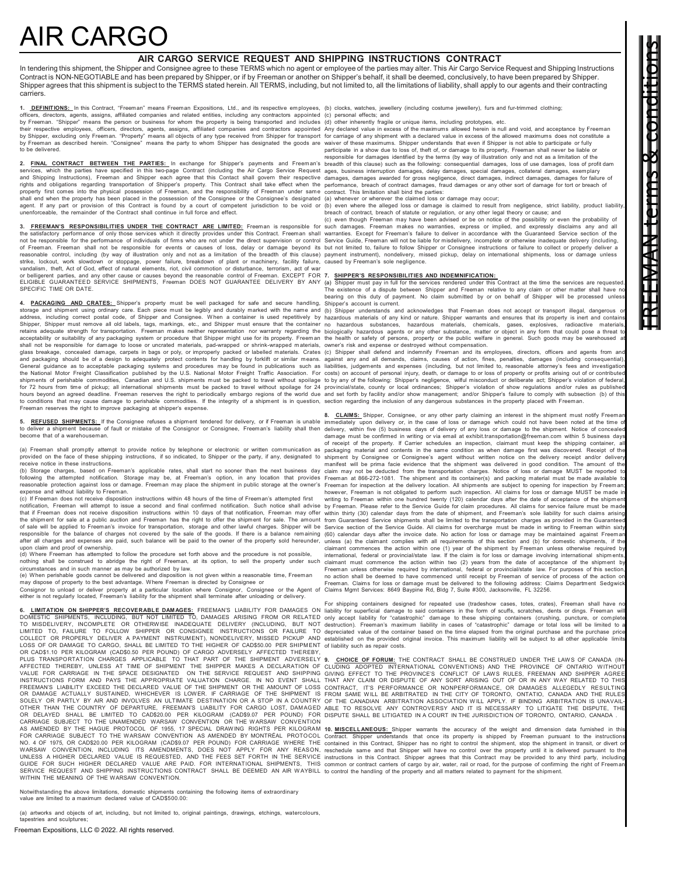# AIR CARGO

### **AIR CARGO SERVICE REQUEST AND SHIPPING INSTRUCTIONS CONTRACT**

In tendering this shipment, the Shipper and Consignee agree to these TERMS which no agent or employee of the parties may alter. This Air Cargo Service Request and Shipping Instructions Contract is NON-NEGOTIABLE and has been prepared by Shipper, or if by Freeman or another on Shipper's behalf, it shall be deemed, conclusively, to have been prepared by Shipper. Shipper agrees that this shipment is subject to the TERMS stated herein. All TERMS, including, but not limited to, all the limitations of liability, shall apply to our agents and their contracting carriers.

**1. <u>DEFINITIONS: I</u>n this Contract, "Freeman" means Freeman Expositions, Ltd., and its respective employees, (b) clocks, watches, jewellery (including costume jewellery), furs and<br>officers, directors, agents, affilialed c** their respective employees, officers, directors, agents, assigns, affiliated companies and contractors appointed<br>by Shipper, excluding only Freeman. "Property" means all objects of any type received from Shipper for transp

**2. <u>FINAL CONTRACT BETWEEN THE PARTIES:** I</u>n exchange for Shipper's payments and Freeman's breadth of this clause) such as the following: consequential damages, loss of use damages, loss of profi<br>services, which the parti and Shipping Instructions), Freeman and Shipper each agree that this Contact shall govern their respective damages, damages awarded for gross negligence, direct damages, indirect damages, famages for failure of<br>rights and property first comes into the physical possession of Freeman, and the responsibility of Freeman under same<br>shall end when the property has been placed in the possession of the Consignee or the Consignee's designated<br>agent. unenforceable, the remainder of the Contract shall continue in full force and effect.

3. FREEMAN'S RESPONSIBILITIES UNDER THE CONTRACT ARE LIMITED: Freeman is responsible for such damages. Freeman makes no warranties, express or implied, and expressly disclaims any and all<br>the satisfactory performance of on not be responsible for the performance of individuals of firms who are not under the direct supervision or control<br>of Freeman. Freeman shall not be responsible for events or causes of loss, delay or damage beyond its<br>reaso strike, lockout, work slowdown or stoppage, power failure, breakdown of plant or machinery, facility failure,<br>vandalism, theft, Act of God, effect of natural elements, riot, civil commotion or disturbance, terrorism, act o

**4. <u>PACKAGING AND CRATES:</u> Shipper's property must be well packaged for safe and secure handling, Shipper's account is current.**<br>storage and shipment using ordinary care. Each piece must be legibly and durably marked with address, including correct postal code, of Shipper and Consignee. When a container is used repetitively by<br>Shipper, Shipper must remove all old labels, tags, markings, etc., and Shipper must ensure that the container<br>retai shall not be responsible for dam age to loose or uncrated materials, pad-wrapper might use for its property. Freeman<br>shall not be responsible for damage to loose or uncrated materials, pad-wrapped or shrink-wrapped materia General guidance as to acceptable packaging systems and procedures may be found in publications such as<br>the National Motor Freight Classification published by the U.S. National Motor Freight Traffic Association. For<br>shipme to conditions that may cause damage to perishable commodities. If the integrity of a shipment is in question, section regarding the inclusion of any dangerous substances in the property placed with Freeman. Freeman reserves the right to improve packaging at shipper's expense

**5. REFUSED SHIPMENTS:** If the Consignee refuses a shipment tendered for delivery, or if Freeman is unable<br>to deliver a shipment because of fault or mistake of the Consignor or Consignee, Freeman's liability shall then<br>b

(a) Freeman shall promptly attempt to provide notice by telephone or electronic or written communication as provided on the face of these shipping instructions, if so indicated, to Shipper or the party, if any, designated to<br>receive notice in these instructions.<br>(b) Storage charges, based on Freeman's applicable rates, shall sta

following the attempted notification. Storage may be, at Freeman's option, in any location that provides Freeman at 866-272-1081. The shipment and its container(s) and packing material must be made available to<br>reasonable expense and without liability to Freem an.

(c) If Freem an does not receive disposition instructions within 48 hours of the tim e of Freem an's attempted first notification, Freeman will attempt to issue a second and final confirmed notification. Such notice shall advise by Freeman. Please refer to the Service Guide for claim procedures. All claims for service failure must be mad that if Freeman does not receive disposition instructions within 10 days of that notification. Freeman may offer the shipment for sale at a public auction and Freeman has the right to offer the shipment for sale. The amount of sale will be applied to Freeman's invoice for transportation, storage and other lawful charges. Shipper will be<br>responsible for the balance of charges not covered by the sale of the goods. If there is a balance remainin

upon claim and proof of ownership.<br>(d) Where Freeman has attempted to follow the procedure set forth above and the procedure is not possible,<br>circumstances and in such manner as may be authorized by law.<br>circumstances and

may dispose of property to the best advantage. Where Freeman is directed by Consignee or the Agent of Freeman. Claims for loss or damage must be delivered to the following address: Cl<br>Consignor to unload or deliver propert

6. <u>LIMITATION ON SHIPPER'S RECOVERABLE DAMAGES:</u> FREEMAN'S LIABILITY FOR DAMAGES ON<br>DOMESTIC SHIPMENTS, INCLUDING, BUT NOT LIMITED TO, DAMAGES ARISING FROM OR RELATED<br>TO MISDELIVERY, INCOMPLETE OR OTHERWISE INADEQUATE DEL OR CADS1:10 PER KILOGRAM (CADS0.50 PER POUND) OF CARGO ADVERSELY AFFECTED THEREBY, THE SHIPPORTATION CHARGES APPLICABLE TO THAT PART OF THE SHIPPER MAKES A DECLARATION OF VALUE FOR CARRIAGE IN THE SPACE DESIGNATED ON THE S UNLESS A HIGHER DECLARED VALUE IS REQUESTED, AND THE FEES SET FORTH IN THE SERVICE<br>GUIDE FOR SUCH HIGHER DECLARED VALUE ARE PAID. FOR INTERNATIONAL SHIPMENTS, THIS<br>SERVICE REQUEST AND SHIPPING INSTRUCTIONS CONTRACT SHALL B

Notwithstanding the above limitations, domestic shipments containing the following items of extraordinary value are limited to a maximum declared value of CAD\$500.00:

(a) artworks and objects of art, including, but not limited to, original paintings, drawings, etchings, watercolours, tapestries and sculptures;

Freeman Expositions, LLC © 2022. All rights reserved.

(b) clocks, watches, jewellery (including costume jewellery), furs and fur-trimmed clothing;

Any declared value in excess of the maximums allowed herein is null and void, and acceptance by Freeman<br>for carriage of any shipment with a declared value in excess of the allowed maximums does not constitute a<br>waiver of t

responsible for damages identified by the terms (by way of illustration only and not as a limitation of the<br>breadth of this clause) such as the following: consequential damages, loss of use damages, loss of profit dam

contract. This limitation shall bind the parties:<br>(a) whenever or wherever the claimed loss or damage may occur;<br>(b) even where the alleged loss or damage is claimed to result from negligence, strict liability, product lia breach of contract, breach of statute or regulation, or any other legal theory or cause; and<br>(c) even though Freeman may have been advised or be on notice of the possibility or even the probability of

warranties. Except for Freeman's failure to deliver in accordance with the Guaranteed Service section of the<br>Service Guide, Freeman will not be liable for misdelivery, incomplete or otherwise inadequate delivery (including payment instrument), nondelivery, missed pickup, delay on international shipments, loss or damage unless:<br>caused by Freeman's sole negligence.

7. SHIPPER'S RESPONSIBILITIES AND INDEMNIFICATION:<br>(a) Shipper must pay in full for the services rendered under this Contract at the time the services are requested.<br>The existence of a dispute between Shipper and Freeman r

hazardous materials of any kind or nature. Shipper warrants and ensures that its property is inert and contains<br>ho hazardous substances, hazardous materials, chemicals, gases, explosives, radioactive materials,<br>biologicall owner's risk and expense or destroyed without compensation.

glass breakage, concealed damage, carpets in bags or poly, or improperly packed or labelled materials. Crates (c) Shipper shall defend and indemnify Freeman and its employees, directors, officers and agents from and<br>and pa for 72 hours from time of pickup; all international shipments must be packed to travel without spoilage for 24 provincial/state, county or local ordinances; Shipper's violation of show regulations and/or rules as published liabilities, judgements and expenses (including, but not limited to, reasonable attorney's fees and investigation<br>costs) on account of personal injury, death, or damage to or loss of property or profits arising out of or c

> 8. CLAIMS: Shipper, Consignee, or any other party claiming an interest in the shipment must notify Freeman immediately upon delivery or, in the case of loss or damage which could not have been noted at the time of immediat of receipt of the property. If Carrier schedules an inspection, claimant must keep the shipping container, all packaging material and contents in the sam e condition as when dam age first was discov ered. Receipt of the shipment by Consignee or Consignee's agent without written notice on the delivery receipt and/or delivery<br>manifest will be prima facie evidence that the shipment was delivered in good condition. The amount of the<br>claim may however, Freeman is not obligated to perform such inspection. All claims for loss or damage MUST be made in<br>writing to Freeman within one hundred twenty (120) calendar days after the date of acceptance of the shipment within thirty (30) calendar days from the date of shipment, and Freeman's sole liability for such claims arising<br>from Guaranteed Service shipments shall be limited to the transportation charges as provided in the Guarantee Service section of the Service Guide. All claims for overcharge must be made in writing to Freeman within sixty<br>(60) calendar days after the invoice date. No action for loss or damage may be maintained against Freeman<br>unle claimant commences the action within one (1) year of the shipment by Freeman unless otherwise required by<br>international, federal or provincial/state law. If the claim is for loss or damage involving international shipments claimant must commence the action within two (2) years from the date of acceptance of the shipment by<br>Freeman unless otherwise required by international, federal or provincial/state law. For purposes of this section,<br>no ac Freeman. Claims for loss or damage must be delivered to the following address: Claims Department Sedgwick

> For shipping containers designed for repeated use (tradeshow cases, totes, crates), Freeman shall have n liability for superficial damage to said containers in the form of scuffs, scratches, dents or dings. Freeman will<br>only accept liability for "catastrophic" damage to these shipping containers (crushing, puncture, or comple

> **9. CHOICE OF FORUM:** THE CONTRACT SHALL BE CONSTRUED UNDER THE LAWS OF CANADA (IN-<br>CLUDING ADOPTED INTERNATIONAL CONVENTIONS) AND THE PROVINCE OF ONTARIO WITHOUT<br>GIVING EFFECT TO THE PROVINCE'S CONFLICT OF LAWS RULES, FRE

**10. <u>MISCELLANEOUS:</u>** Shipper warrants the accuracy of the weight and dimension data furnished in this<br>Contract. Shipper understands that once its property is shipped by Freeman pursuant to the instructions<br>contained in t reschedule same and that Shipper will have no control over the property until it is delivered pursuant to the<br>instructions in this Contract. Shipper agrees that this Contract may be provided to any third party, including<br>c